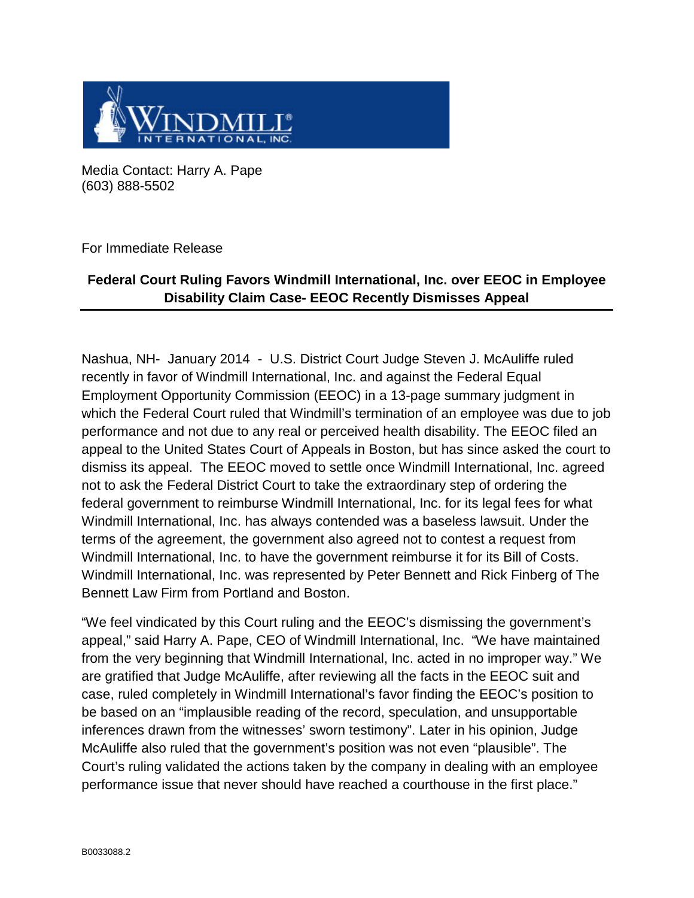

Media Contact: Harry A. Pape (603) 888-5502

For Immediate Release

## **Federal Court Ruling Favors Windmill International, Inc. over EEOC in Employee Disability Claim Case- EEOC Recently Dismisses Appeal**

Nashua, NH- January 2014 - U.S. District Court Judge Steven J. McAuliffe ruled recently in favor of Windmill International, Inc. and against the Federal Equal Employment Opportunity Commission (EEOC) in a 13-page summary judgment in which the Federal Court ruled that Windmill's termination of an employee was due to job performance and not due to any real or perceived health disability. The EEOC filed an appeal to the United States Court of Appeals in Boston, but has since asked the court to dismiss its appeal. The EEOC moved to settle once Windmill International, Inc. agreed not to ask the Federal District Court to take the extraordinary step of ordering the federal government to reimburse Windmill International, Inc. for its legal fees for what Windmill International, Inc. has always contended was a baseless lawsuit. Under the terms of the agreement, the government also agreed not to contest a request from Windmill International, Inc. to have the government reimburse it for its Bill of Costs. Windmill International, Inc. was represented by Peter Bennett and Rick Finberg of The Bennett Law Firm from Portland and Boston.

"We feel vindicated by this Court ruling and the EEOC's dismissing the government's appeal," said Harry A. Pape, CEO of Windmill International, Inc. "We have maintained from the very beginning that Windmill International, Inc. acted in no improper way." We are gratified that Judge McAuliffe, after reviewing all the facts in the EEOC suit and case, ruled completely in Windmill International's favor finding the EEOC's position to be based on an "implausible reading of the record, speculation, and unsupportable inferences drawn from the witnesses' sworn testimony". Later in his opinion, Judge McAuliffe also ruled that the government's position was not even "plausible". The Court's ruling validated the actions taken by the company in dealing with an employee performance issue that never should have reached a courthouse in the first place."